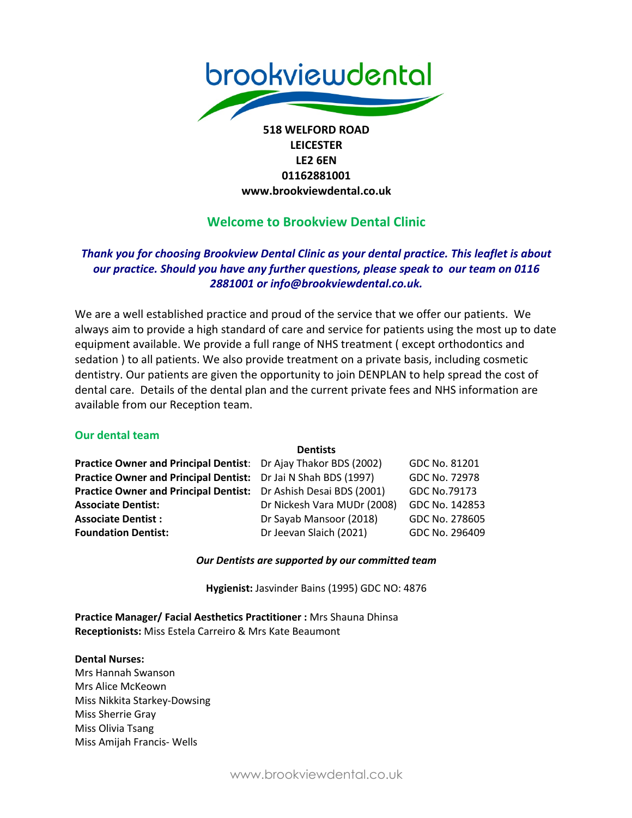

# **LEICESTER LE2 6EN 01162881001 www.brookviewdental.co.uk**

# **Welcome to Brookview Dental Clinic**

# *Thank you for choosing Brookview Dental Clinic as your dental practice. This leaflet is about our practice. Should you have any further questions, please speak to our team on 0116 2881001 or info@brookviewdental.co.uk.*

We are a well established practice and proud of the service that we offer our patients. We always aim to provide a high standard of care and service for patients using the most up to date equipment available. We provide a full range of NHS treatment ( except orthodontics and sedation ) to all patients. We also provide treatment on a private basis, including cosmetic dentistry. Our patients are given the opportunity to join DENPLAN to help spread the cost of dental care. Details of the dental plan and the current private fees and NHS information are available from our Reception team.

### **Our dental team**

| <b>Dentists</b>                                                  |                |
|------------------------------------------------------------------|----------------|
| Practice Owner and Principal Dentist: Dr Ajay Thakor BDS (2002)  | GDC No. 81201  |
| Practice Owner and Principal Dentist: Dr Jai N Shah BDS (1997)   | GDC No. 72978  |
| Practice Owner and Principal Dentist: Dr Ashish Desai BDS (2001) | GDC No.79173   |
| Dr Nickesh Vara MUDr (2008)                                      | GDC No. 142853 |
| Dr Sayab Mansoor (2018)                                          | GDC No. 278605 |
| Dr Jeevan Slaich (2021)                                          | GDC No. 296409 |
|                                                                  |                |

### *Our Dentists are supported by our committed team*

**Hygienist:** Jasvinder Bains (1995) GDC NO: 4876

**Practice Manager/ Facial Aesthetics Practitioner :** Mrs Shauna Dhinsa **Receptionists:** Miss Estela Carreiro & Mrs Kate Beaumont

#### **Dental Nurses:**

Mrs Hannah Swanson Mrs Alice McKeown Miss Nikkita Starkey-Dowsing Miss Sherrie Gray Miss Olivia Tsang Miss Amijah Francis- Wells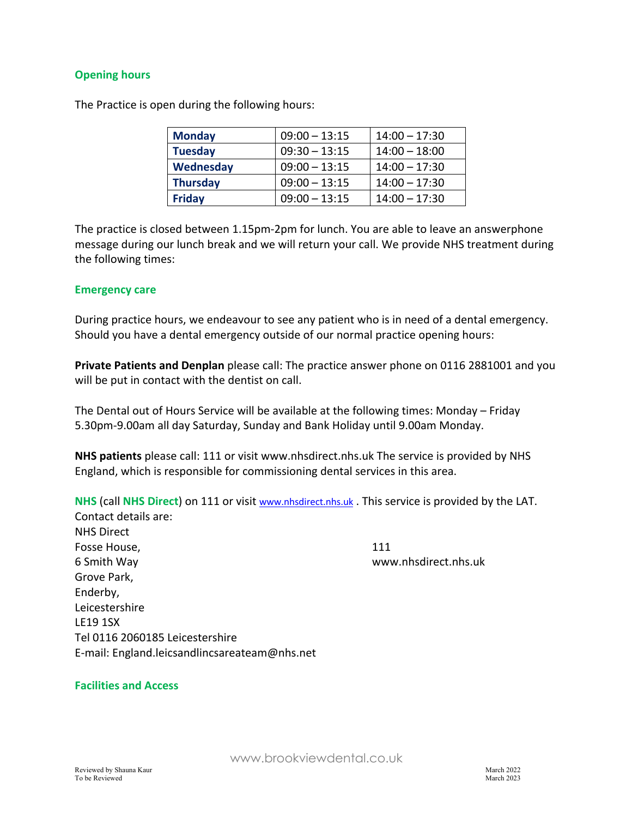### **Opening hours**

The Practice is open during the following hours:

| <b>Monday</b>   | $09:00 - 13:15$ | $14:00 - 17:30$ |
|-----------------|-----------------|-----------------|
| <b>Tuesday</b>  | $09:30 - 13:15$ | $14:00 - 18:00$ |
| Wednesday       | $09:00 - 13:15$ | $14:00 - 17:30$ |
| <b>Thursday</b> | $09:00 - 13:15$ | $14:00 - 17:30$ |
| <b>Friday</b>   | $09:00 - 13:15$ | $14:00 - 17:30$ |

The practice is closed between 1.15pm-2pm for lunch. You are able to leave an answerphone message during our lunch break and we will return your call. We provide NHS treatment during the following times:

#### **Emergency care**

During practice hours, we endeavour to see any patient who is in need of a dental emergency. Should you have a dental emergency outside of our normal practice opening hours:

**Private Patients and Denplan** please call: The practice answer phone on 0116 2881001 and you will be put in contact with the dentist on call.

The Dental out of Hours Service will be available at the following times: Monday – Friday 5.30pm-9.00am all day Saturday, Sunday and Bank Holiday until 9.00am Monday.

**NHS patients** please call: 111 or visit www.nhsdirect.nhs.uk The service is provided by NHS England, which is responsible for commissioning dental services in this area.

**NHS** (call **NHS Direct**) on 111 or visit www.nhsdirect.nhs.uk . This service is provided by the LAT. Contact details are: NHS Direct Fosse House. **111** 6 Smith Way www.nhsdirect.nhs.uk Grove Park, Enderby, Leicestershire LE19 1SX Tel 0116 2060185 Leicestershire E-mail: England.leicsandlincsareateam@nhs.net

### **Facilities and Access**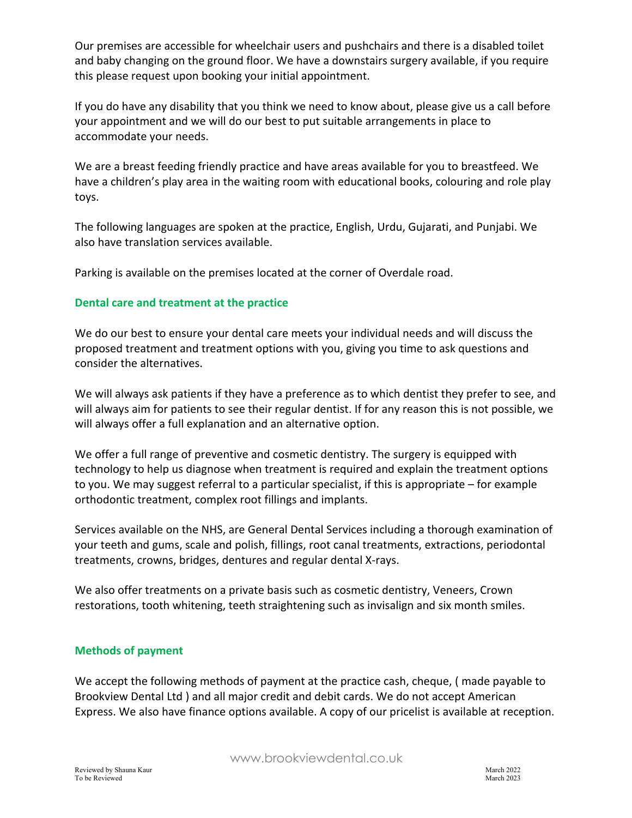Our premises are accessible for wheelchair users and pushchairs and there is a disabled toilet and baby changing on the ground floor. We have a downstairs surgery available, if you require this please request upon booking your initial appointment.

If you do have any disability that you think we need to know about, please give us a call before your appointment and we will do our best to put suitable arrangements in place to accommodate your needs.

We are a breast feeding friendly practice and have areas available for you to breastfeed. We have a children's play area in the waiting room with educational books, colouring and role play toys.

The following languages are spoken at the practice, English, Urdu, Gujarati, and Punjabi. We also have translation services available.

Parking is available on the premises located at the corner of Overdale road.

## **Dental care and treatment at the practice**

We do our best to ensure your dental care meets your individual needs and will discuss the proposed treatment and treatment options with you, giving you time to ask questions and consider the alternatives.

We will always ask patients if they have a preference as to which dentist they prefer to see, and will always aim for patients to see their regular dentist. If for any reason this is not possible, we will always offer a full explanation and an alternative option.

We offer a full range of preventive and cosmetic dentistry. The surgery is equipped with technology to help us diagnose when treatment is required and explain the treatment options to you. We may suggest referral to a particular specialist, if this is appropriate – for example orthodontic treatment, complex root fillings and implants.

Services available on the NHS, are General Dental Services including a thorough examination of your teeth and gums, scale and polish, fillings, root canal treatments, extractions, periodontal treatments, crowns, bridges, dentures and regular dental X-rays.

We also offer treatments on a private basis such as cosmetic dentistry, Veneers, Crown restorations, tooth whitening, teeth straightening such as invisalign and six month smiles.

## **Methods of payment**

We accept the following methods of payment at the practice cash, cheque, ( made payable to Brookview Dental Ltd ) and all major credit and debit cards. We do not accept American Express. We also have finance options available. A copy of our pricelist is available at reception.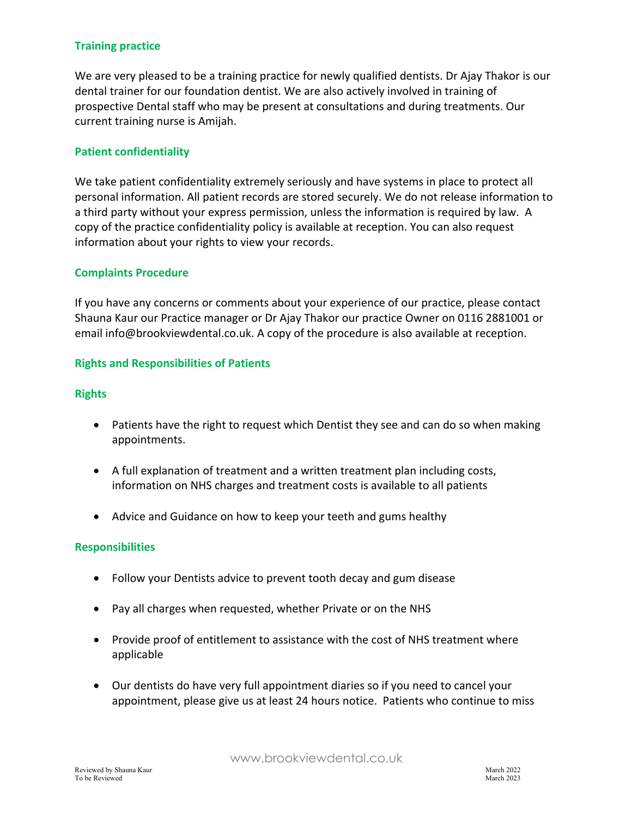### **Training practice**

We are very pleased to be a training practice for newly qualified dentists. Dr Ajay Thakor is our dental trainer for our foundation dentist. We are also actively involved in training of prospective Dental staff who may be present at consultations and during treatments. Our current training nurse is Amijah.

### **Patient confidentiality**

We take patient confidentiality extremely seriously and have systems in place to protect all personal information. All patient records are stored securely. We do not release information to a third party without your express permission, unless the information is required by law. A copy of the practice confidentiality policy is available at reception. You can also request information about your rights to view your records.

#### **Complaints Procedure**

If you have any concerns or comments about your experience of our practice, please contact Shauna Kaur our Practice manager or Dr Ajay Thakor our practice Owner on 0116 2881001 or email info@brookviewdental.co.uk. A copy of the procedure is also available at reception.

#### **Rights and Responsibilities of Patients**

#### **Rights**

- Patients have the right to request which Dentist they see and can do so when making appointments.
- A full explanation of treatment and a written treatment plan including costs, information on NHS charges and treatment costs is available to all patients
- Advice and Guidance on how to keep your teeth and gums healthy

#### **Responsibilities**

- Follow your Dentists advice to prevent tooth decay and gum disease
- Pay all charges when requested, whether Private or on the NHS
- Provide proof of entitlement to assistance with the cost of NHS treatment where applicable
- Our dentists do have very full appointment diaries so if you need to cancel your appointment, please give us at least 24 hours notice. Patients who continue to miss